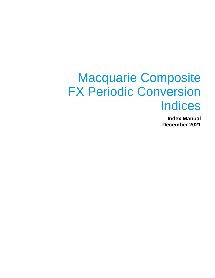# Macquarie Composite FX Periodic Conversion **Indices**

**Index Manual December 2021**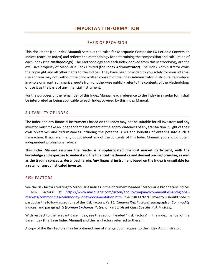## **IMPORTANT INFORMATION**

### BASIS OF PROVISION

<span id="page-1-1"></span><span id="page-1-0"></span>This document (the **Index Manual**) sets out the rules for Macquarie Composite FX Periodic Conversion Indices (each, an **Index**) and reflects the methodology for determining the composition and calculation of each Index (the **Methodology**). The Methodology and each Index derived from this Methodology are the exclusive property of Macquarie Bank Limited (the **Index Administrator**). The Index Administrator owns the copyright and all other rights to the Indices. They have been provided to you solely for your internal use and you may not, without the prior written consent of the Index Administrator, distribute, reproduce, in whole or in part, summarize, quote from or otherwise publicly refer to the contents of the Methodology or use it as the basis of any financial instrument.

For the purposes of the remainder of this Index Manual, each reference to the Index in singular form shall be interpreted as being applicable to each Index covered by this Index Manual.

#### <span id="page-1-2"></span>SUITABILITY OF INDEX

The Index and any financial instruments based on the Index may not be suitable for all investors and any investor must make an independent assessment of the appropriateness of any transaction in light of their own objectives and circumstances including the potential risks and benefits of entering into such a transaction. If you are in any doubt about any of the contents of this Index Manual, you should obtain independent professional advice.

**This Index Manual assumes the reader is a sophisticated financial market participant, with the knowledge and expertise to understand the financial mathematics and derived pricing formulae, as well as the trading concepts, described herein. Any financial instrument based on the Index is unsuitable for a retail or unsophisticated investor.**

#### <span id="page-1-3"></span>RISK FACTORS

See the risk factors relating to Macquarie indices in the document headed "Macquarie Proprietary Indices – Risk Factors" at [https://www.macquarie.com/uk/en/about/company/commodities-and-global](https://www.macquarie.com/uk/en/about/company/commodities-and-global-markets/commodities/commodity-index-documentation.html)[markets/commodities/commodity-index-documentation.html](https://www.macquarie.com/uk/en/about/company/commodities-and-global-markets/commodities/commodity-index-documentation.html) (the **Risk Factors**). Investors should note in particular the following sections of the Risk Factors: Part 1 (*General Risk Factors*), paragraph 3 (*Commodity*  Indices) and paragraph 5 (*Foreign Exchange Rates)* of Part 2 (*Asset Class Specific Risk Factors).*

With respect to the relevant Base Index, see the section headed "Risk Factors" in the index manual of the Base Index (the **Base Index Manual**) and the risk factors referred to therein.

A copy of the Risk Factors may be obtained free of charge upon request to the Index Administrator.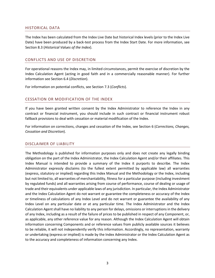#### <span id="page-2-0"></span>HISTORICAL DATA

The Index has been calculated from the Index Live Date but historical Index levels (prior to the Index Live Date) have been produced by a back-test process from the Index Start Date. For more information, see Section 8.3 (*Historical Values of the Index*).

#### <span id="page-2-1"></span>CONFLICTS AND USE OF DISCRETION

For operational reasons the Index may, in limited circumstances, permit the exercise of discretion by the Index Calculation Agent (acting in good faith and in a commercially reasonable manner). For further information see Section 6.4 (*Discretion*).

For information on potential conflicts, see Section 7.3 (*Conflicts*).

#### <span id="page-2-2"></span>CESSATION OR MODIFICATION OF THE INDEX

If you have been granted written consent by the Index Administrator to reference the Index in any contract or financial instrument, you should include in such contract or financial instrument robust fallback provisions to deal with cessation or material modification of the Index.

For information on corrections, changes and cessation of the Index, see Section 6 (*Corrections, Changes, Cessation and Discretion*).

#### <span id="page-2-3"></span>DISCLAIMER OF LIABILITY

The Methodology is published for information purposes only and does not create any legally binding obligation on the part of the Index Administrator, the Index Calculation Agent and/or their affiliates. This Index Manual is intended to provide a summary of the Index it purports to describe. The Index Administrator expressly disclaims (to the fullest extent permitted by applicable law) all warranties (express, statutory or implied) regarding this Index Manual and the Methodology or the Index, including but not limited to, all warranties of merchantability, fitness for a particular purpose (including investment by regulated funds) and all warranties arising from course of performance, course of dealing or usage of trade and their equivalents under applicable laws of any jurisdiction. In particular, the Index Administrator and the Index Calculation Agent do not warrant or guarantee the completeness or accuracy of the Index or timeliness of calculations of any Index Level and do not warrant or guarantee the availability of any Index Level on any particular date or at any particular time. The Index Administrator and the Index Calculation Agent shall have no liability to any person for delays, omissions or interruptions in the delivery of any Index, including as a result of the failure of prices to be published in respect of any Component, or, as applicable, any other reference value for any reason. Although the Index Calculation Agent will obtain information concerning Components and or reference values from publicly available sources it believes to be reliable, it will not independently verify this information. Accordingly, no representation, warranty or undertaking (express or implied) is made by the Index Administrator or the Index Calculation Agent as to the accuracy and completeness of information concerning any Index.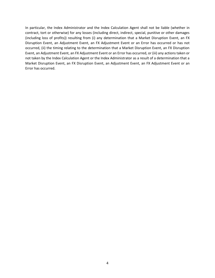In particular, the Index Administrator and the Index Calculation Agent shall not be liable (whether in contract, tort or otherwise) for any losses (including direct, indirect, special, punitive or other damages (including loss of profits)) resulting from (i) any determination that a Market Disruption Event, an FX Disruption Event, an Adjustment Event, an FX Adjustment Event or an Error has occurred or has not occurred, (ii) the timing relating to the determination that a Market Disruption Event, an FX Disruption Event, an Adjustment Event, an FX Adjustment Event or an Error has occurred, or (iii) any actions taken or not taken by the Index Calculation Agent or the Index Administrator as a result of a determination that a Market Disruption Event, an FX Disruption Event, an Adjustment Event, an FX Adjustment Event or an Error has occurred.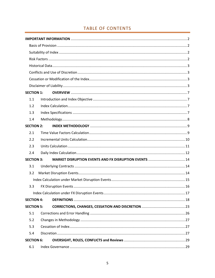# TABLE OF CONTENTS

| <b>SECTION 1:</b> |            |
|-------------------|------------|
| 1.1               |            |
| 1.2               |            |
| 1.3               |            |
| 1.4               |            |
| <b>SECTION 2:</b> |            |
| 2.1               |            |
| 2.2               |            |
| 2.3               |            |
| 2.4               |            |
| <b>SECTION 3:</b> |            |
| 3.1               |            |
| 3.2               |            |
|                   |            |
| 3.3               |            |
|                   | $\dots$ 17 |
| <b>SECTION 4:</b> |            |
| <b>SECTION 5:</b> |            |
| 5.1               |            |
| 5.2               |            |
| 5.3               |            |
| 5.4               |            |
| <b>SECTION 6:</b> |            |
| 6.1               |            |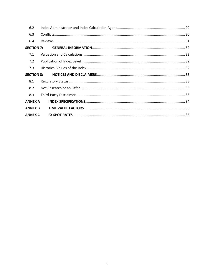| 6.2               |  |
|-------------------|--|
| 6.3               |  |
| 6.4               |  |
| <b>SECTION 7:</b> |  |
| 7.1               |  |
| 7.2               |  |
| 7.3               |  |
| <b>SECTION 8:</b> |  |
| 8.1               |  |
| 8.2               |  |
| 8.3               |  |
| <b>ANNEX A</b>    |  |
| <b>ANNEX B</b>    |  |
| <b>ANNEX C</b>    |  |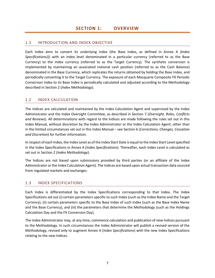## <span id="page-6-1"></span><span id="page-6-0"></span>1.1 INTRODUCTION AND INDEX OBJECTIVE

Each Index aims to convert its underlying index (the Base Index**,** as defined in Annex A *(Index Specifications)*)) with an index level denominated in a particular currency (referred to as the Base Currency) to the Index currency (referred to as the Target Currency). The synthetic conversion is implemented by maintaining an associated notional cash position (referred to as the Cash Balance) denominated in the Base Currency, which replicates the returns obtained by holding the Base Index, and periodically converting it to the Target Currency. The exposure of each Macquarie Composite FX Periodic Conversion Index to its Base Index is periodically calculated and adjusted according to the Methodology described in Section 2 (*Index Methodology*).

### <span id="page-6-2"></span>1.2 INDEX CALCULATION

The Indices are calculated and maintained by the Index Calculation Agent and supervised by the Index Administrator and the Index Oversight Committee, as described in Section 7 (*Oversight, Roles, Conflicts and Reviews*). All determinations with regard to the Indices are made following the rules set out in this Index Manual, without discretion by the Index Administrator or the Index Calculation Agent, other than in the limited circumstances set out in this Index Manual – see Section 6 (*Corrections, Changes, Cessation and Discretion*) for further information.

In respect of each Index, the Index Level as of the Index Start Date is equal to the Index Start Level specified in the Index Specifications in Annex A (*Index Specifications*). Thereafter, each Index Level is calculated as set out in Section 2 (*Index Methodology*).

The Indices are not based upon submissions provided by third parties (or an affiliate of the Index Administrator or the Index Calculation Agent). The Indices are based upon actual transaction data sourced from regulated markets and exchanges.

#### <span id="page-6-3"></span>1.3 INDEX SPECIFICATIONS

Each Index is differentiated by the Index Specifications corresponding to that Index. The Index Specifications set out (i) certain parameters specific to such Index (such as the Index Name and the Target Currency), (ii) certain parameters specific to the Base Index of such Index (such as the Base Index Name and the Base Currency), and (iii) the parameters that determine the Methodology (such as the Holdings Calculation Day and the FX Conversion Day).

The Index Administrator may, at any time, commence calculation and publication of new Indices pursuant to the Methodology. In such circumstances the Index Administrator will publish a revised version of the Methodology, revised only to augment Annex A (*Index Specifications*) with the new Index Specifications relating to the new Indices.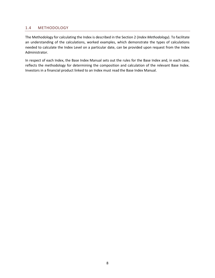### <span id="page-7-0"></span>1.4 METHODOLOGY

The Methodology for calculating the Index is described in the Section 2 (*Index Methodology*). To facilitate an understanding of the calculations, worked examples, which demonstrate the types of calculations needed to calculate the Index Level on a particular date, can be provided upon request from the Index Administrator.

In respect of each Index, the Base Index Manual sets out the rules for the Base Index and, in each case, reflects the methodology for determining the composition and calculation of the relevant Base Index. Investors in a financial product linked to an Index must read the Base Index Manual.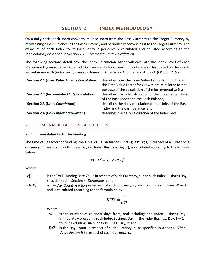## **SECTION 2: INDEX METHODOLOGY**

<span id="page-8-0"></span>On a daily basis, each Index converts its Base Index from the Base Currency to the Target Currency by maintaining a Cash Balance in the Base Currency and periodically converting it to the Target Currency. The exposure of each Index to its Base Index is periodically calculated and adjusted according to the Methodology described in Section 2.2 (*Incremental Units Calculation*).

The following sections detail how the Index Calculation Agent will calculate the Index Level of each Macquarie Dynamic Carry FX Periodic Conversion Index on each Index Business Day, based on the inputs set out in Annex A (*Index Specifications*), Annex B (*Time Value Factors*) and Annex C (*FX Spot Rates*).

| <b>Section 2.1 (Time Value Factors Calculation)</b> | describes how the Time Value Factor for Funding and      |
|-----------------------------------------------------|----------------------------------------------------------|
|                                                     | the Time Value Factor for Growth are calculated for the  |
|                                                     | purpose of the calculation of the Incremental Units;     |
| <b>Section 2.2 (Incremental Units Calculation)</b>  | describes the daily calculation of the Incremental Units |
|                                                     | of the Base Index and the Cash Balance;                  |
| <b>Section 2.3 (Units Calculation)</b>              | describes the daily calculation of the Units of the Base |
|                                                     | Index and the Cash Balance; and                          |
| <b>Section 2.4 (Daily Index Calculation)</b>        | describes the daily calculation of the Index Level.      |

#### <span id="page-8-1"></span>2.1 TIME VALUE FACTORS CALCULATION

#### 2.1.1 **Time Value Factor for Funding**

The time value factor for funding (the **Time Value Factor for Funding**,  $\bm{TVFF^c_t}$ ), in respect of a Currency (a **Currency, c**), and an Index Business Day (an **Index Business Day, t**), is calculated according to the formula below:

$$
\mathit{TVFF}^c_t = r^c_t \times \mathit{DCF}^c_t
$$

Where:

- $r_t^c$ is the TVFF Funding Rate Value in respect of such Currency,  $c$ , and such Index Business Day, , as defined in Section 4 (*Definitions*); and
- $\bm{DCF^c_t}$ is the Day Count Fraction in respect of such Currency,  $c$ , and such Index Business Day,  $t$ , and is calculated according to the formula below:

$$
DCF_t^c = \frac{\Delta t}{DC^c}
$$

Where:

- $\Delta t$  is the number of calendar days from, and including, the Index Business Day immediately preceding such Index Business Day, t (the Index Business Day,  $t-1$ ) to, but excluding, such Index Business Day,  $t$ ; and
- $\bm{D}\bm{\mathcal{C}}^c$ is the Day Count in respect of such Currency, c, as specified in Annex B *(Time Value Factors)*) in respect of such Currency, c.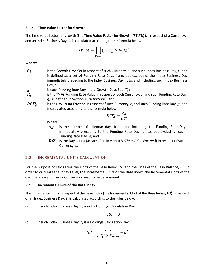#### 2.1.2 **Time Value Factor for Growth**

The time value factor for growth (the **Time Value Factor for Growth,**  $\bm{TVFG^c_t}$ **)**, in respect of a Currency,  $c$ , and an Index Business Day,  $t$ , is calculated according to the formula below:

$$
TVFG_t^c = \prod_{g \in G_t^c} \left(1 + r_g^c \times DCF_g^c\right) - 1
$$

Where:

 $G_t^c$ is the Growth Days Set in respect of such Currency,  $c$ , and such Index Business Day,  $t$ , and is defined as a set of Funding Rate Days from, but excluding, the Index Business Day immediately preceding to the Index Business Day,  $t$ , to, and including, such Index Business Day,  $t$ ;

 $\boldsymbol{g}$  is each Funding Rate Day in the Growth Days Set,  $G_t^c$ ;

- $\bm{r_g^c}$ is the TVFG Funding Rate Value in respect of such Currency,  $c$ , and such Funding Rate Day, , as defined in Section 4 (*Definitions*); and
- $DCF_g^c$ is the Day Count Fraction in respect of such Currency,  $c$ , and such Funding Rate Day,  $g$ , and is calculated according to the formula below:

$$
DCF_g^c = \frac{\Delta g}{DC^c}
$$

Where:

- $\Delta$ g is the number of calendar days from, and including, the Funding Rate Day immediately preceding to the Funding Rate Day,  $g$ , to, but excluding, such Funding Rate Day,  $q$ ; and
- $\bm{D}\bm{\mathcal{C}}^c$ is the Day Count (as specified in Annex B *(Time Value Factors)*) in respect of such Currency,  $c$ .

#### <span id="page-9-0"></span>2.2 INCREMENTAL UNITS CALCULATION

For the purpose of calculating the Units of the Base Index,  $U_t^i$ , and the Units of the Cash Balance,  $U_t^c$ , in order to calculate the Index Level, the Incremental Units of the Base Index, the Incremental Units of the Cash Balance and the FX Conversion need to be determined.

#### 2.2.1 **Incremental Units of the Base Index**

The incremental units in respect of the Base Index (the **Incremental Unit of the Base Index,**  $IU_t^i$ ) in respect of an Index Business Day,  $t$ , is calculated according to the rules below:

(a) if such Index Business Day,  $t$ , is not a Holdings Calculation Day:

 $IU_t^i=0$ 

(b) If such Index Business Day,  $t$ , is a Holdings Calculation Day:

$$
IU_t^i = \frac{I_{t-1}}{I_{t-1}^{\text{base}} \times FX_{t-1}} - U_t^i
$$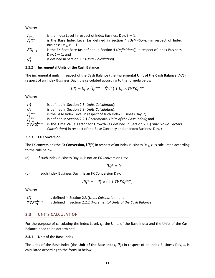Where:

| $I_{t-1}$               | is the Index Level in respect of Index Business Day, $t - 1$ ;                           |
|-------------------------|------------------------------------------------------------------------------------------|
| $I_{t-1}^{\text{base}}$ | is the Base Index Level (as defined in Section 4 (Definitions)) in respect of Index      |
|                         | Business Day, $t-1$ ;                                                                    |
| $FX_{t-1}$              | is the FX Spot Rate (as defined in Section 4 (Definitions)) in respect of Index Business |
|                         | Day, $t-1$ ; and                                                                         |

 $\boldsymbol{U_t^{i}}$ is defined in Section 2.3 (*Units Calculation*).

#### 2.2.2 **Incremental Units of the Cash Balance**

The incremental units in respect of the Cash Balance (the **Incremental Unit of the Cash Balance,**  $IU_t^c$ ) in respect of an Index Business Day,  $t$ , is calculated according to the formula below:

$$
IU_t^c = U_t^i \times (I_t^{\text{base}} - I_{t-1}^{\text{base}}) + U_t^c \times TVFG_t^{\text{base}}
$$

Where:

| $U_t^i$                 | is defined in Section 2.3 (Units Calculation);                                     |
|-------------------------|------------------------------------------------------------------------------------|
| $U_t^c$                 | is defined in Section 2.3 (Units Calculation);                                     |
| $I_t^{\text{base}}$     | is the Base Index Level in respect of such Index Business Day, $t$ ;               |
| $I_{t-1}^{\text{base}}$ | is defined in Section 2.2.1 (Incremental Units of the Base Index); and             |
| $TVFG_t^{\text{base}}$  | is the Time Value Factor for Growth (as defined in Section 2.1 (Time Value Factors |
|                         | Calculation)) in respect of the Base Currency and an Index Business Day, t.        |

#### 2.2.3 **FX Conversion**

The FX conversion (the **FX Conversion,** *I***U** $_t^{cs}$ ) in respect of an Index Business Day,  $t$ , is calculated according to the rule below:

(a) if such Index Business Day,  $t$ , is not an FX Conversion Day:

 $IU_t^{cs} = 0$ 

(b) if such Index Business Day,  $t$  is an FX Conversion Day:

$$
IU_t^{cs} = -U_t^c \times \left(1 + TVFG_t^{\text{base}}\right)
$$

Where:

 $U_t^c$ is defined in Section 2.3 (*Units Calculation*); and  $TVFG_t^{\text{base}}$ is defined in Section 2.2.2 (*Incremental Units of the Cash Balance*).

## <span id="page-10-0"></span>2.3 UNITS CALCULATION

For the purpose of calculating the Index Level,  $I_t$ , the Units of the Base Index and the Units of the Cash Balance need to be determined.

#### **2.3.1 Unit of the Base Index**

The units of the Base Index (the **Unit of the Base Index,**  $\bm{U^i_t}$ ) in respect of an Index Business Day,  $t$ , is calculated according to the formula below: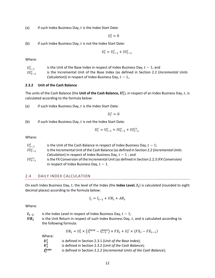(a) if such Index Business Day,  $t$  is the Index Start Date:

 $U_t^i = 0$ 

(b) if such Index Business Day,  $t$  is not the Index Start Date:

$$
U_t^i = U_{t-1}^i + I U_{t-1}^i
$$

Where:

 $U_{t-1}^i$ is the Unit of the Base Index in respect of Index Business Day,  $t - 1$ ; and  $IU_{t-1}^i$ is the Incremental Unit of the Base Index (as defined in Section 2.2 (*Incremental Units Calculation*)) in respect of Index Business Day,  $t - 1$ ,.

#### **2.3.2 Unit of the Cash Balance**

The units of the Cash Balance (the **Unit of the Cash Balance,**  $U_t^c$ ), in respect of an Index Business Day,  $t$ , is calculated according to the formula below:

(a) if such Index Business Day,  $t$  is the Index Start Date:

 $U_t^c = 0$ 

(b) if such Index Business Day,  $t$  is not the Index Start Date:

$$
U_t^c = U_{t-1}^c + I U_{t-1}^c + I U_{t-1}^{cs}
$$

Where:

| $U_{t-1}^c$     | is the Unit of the Cash Balance in respect of Index Business Day, $t - 1$ ;               |
|-----------------|-------------------------------------------------------------------------------------------|
| $IU_{t-1}^c$    | is the Incremental Unit of the Cash Balance (as defined in Section 2.2 (Incremental Units |
|                 | <i>Calculation</i> ) in respect of Index Business Day, $t - 1$ ; and                      |
| $IU_{t-1}^{cs}$ | is the FX Conversion of the Incremental Unit (as defined in Section 2.2.3 (FX Conversion) |
|                 | in respect of Index Business Day, $t-1$ .                                                 |

#### <span id="page-11-0"></span>2.4 DAILY INDEX CALCULATION

On each Index Business Day, t, the level of the Index (the **Index Level**,  $I_t$ ) is calculated (rounded to eight decimal places) according to the formula below:

$$
I_t = I_{t-1} + UR_t + AR_t
$$

Where:

- $I_{t-1}$  is the Index Level in respect of Index Business Day,  $t 1$ ;
- $UR_t$ is the Unit Return in respect of such Index Business Day, t, and is calculated according to the following formula:

$$
UR_t = U_t^i \times \left(I_t^{\text{base}} - I_{t-1}^{\text{base}}\right) \times FX_t + U_t^c \times \left(FX_t - FX_{t-1}\right)
$$

Where:

| Uį                        | is defined in Section 2.3.1 (Unit of the Base Index);                |
|---------------------------|----------------------------------------------------------------------|
| $U_t^c$                   | is defined in Section 2.3.2 (Unit of the Cash Balance);              |
| <i>I</i> <sub>t</sub> ase | is defined in Section 2.2.2 (Incremental Units of the Cash Balance); |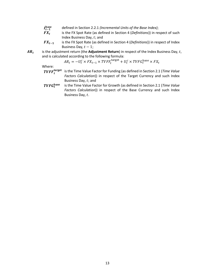- $I_{t-1}^{\rm base}$ defined in Section 2.2.1 *(Incremental Units of the Base Index)*;
- $FX_t$ is the FX Spot Rate (as defined in Section 4 (*Definitions*)) in respect of such Index Business Day,  $t$ ; and
- − is the FX Spot Rate (as defined in Section 4 (*Definitions*)) in respect of Index Business Day,  $t - 1$ ;
- $AR_t$ is the adjustment return (the Adjustment Return) in respect of the Index Business Day, t, and is calculated according to the following formula:

$$
AR_t = -U_t^c \times FX_{t-1} \times TVFF_t^{\text{target}} + U_t^c \times TVFG_t^{\text{base}} \times FX_t
$$

Where:

- $TVFF_t^{\text{target}}$  is the Time Value Factor for Funding (as defined in Section 2.1 (*Time Value Factors Calculation*)) in respect of the Target Currency and such Index Business Day,  $t$ ; and
- $TVFG_t^{\text{base}}$  is the Time Value Factor for Growth (as defined in Section 2.1 (*Time Value Factors Calculation*)) in respect of the Base Currency and such Index Business Day, t.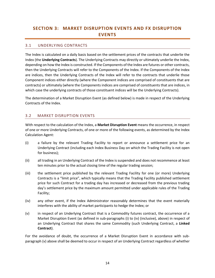# <span id="page-13-0"></span>**SECTION 3: MARKET DISRUPTION EVENTS AND FX DISRUPTION EVENTS**

#### <span id="page-13-1"></span>3.1 UNDERLYING CONTRACTS

The Index is calculated on a daily basis based on the settlement prices of the contracts that underlie the Index (the **Underlying Contracts**). The Underlying Contracts may directly or ultimately underlie the Index, depending on how the Index is constructed. If the Components of the Index are futures or other contracts, then the Underlying Contracts will refer to the Components of the Index. If the Components of the Index are indices, then the Underlying Contracts of the Index will refer to the contracts that underlie those Component indices either directly (where the Component indices are comprised of constituents that are contracts) or ultimately (where the Components indices are comprised of constituents that are indices, in which case the underlying contracts of those constituent indices will be the Underlying Contracts).

The determination of a Market Disruption Event (as defined below) is made in respect of the Underlying Contracts of the Index.

## <span id="page-13-2"></span>3.2 MARKET DISRUPTION EVENTS

With respect to the calculation of the Index, a **Market Disruption Event** means the occurrence, in respect of one or more Underlying Contracts, of one or more of the following events, as determined by the Index Calculation Agent:

- (i) a failure by the relevant Trading Facility to report or announce a settlement price for an Underlying Contract (including each Index Business Day on which the Trading Facility is not open for business);
- (ii) all trading in an Underlying Contract of the Index is suspended and does not recommence at least ten minutes prior to the actual closing time of the regular trading session;
- (iii) the settlement price published by the relevant Trading Facility for one (or more) Underlying Contracts is a "limit price", which typically means that the Trading Facility published settlement price for such Contract for a trading day has increased or decreased from the previous trading day's settlement price by the maximum amount permitted under applicable rules of the Trading Facility;
- (iv) any other event, if the Index Administrator reasonably determines that the event materially interferes with the ability of market participants to hedge the Index; or
- (v) in respect of an Underlying Contract that is a Commodity futures contract, the occurrence of a Market Disruption Event (as defined in sub-paragraphs (i) to (iv) (inclusive), above) in respect of an Underlying Contract that shares the same Commodity (such Underlying Contract, a **Linked Contract**).

For the avoidance of doubt, the occurrence of a Market Disruption Event in accordance with subparagraph (v) above shall be deemed to occur in respect of an Underlying Contract regardless of whether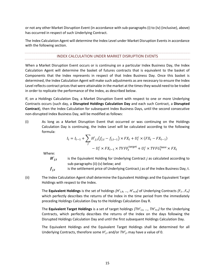or not any other Market Disruption Event (in accordance with sub-paragraphs (i) to (iv) (inclusive), above) has occurred in respect of such Underlying Contract.

<span id="page-14-0"></span>The Index Calculation Agent will determine the Index Level under Market Disruption Events in accordance with the following section.

#### INDEX CALCULATION UNDER MARKET DISRUPTION EVENTS

When a Market Disruption Event occurs or is continuing on a particular Index Business Day, the Index Calculation Agent will determine the basket of futures contracts that is equivalent to the basket of Components that the Index represents in respect of that Index Business Day. Once this basket is determined, the Index Calculation Agent will make such adjustments as are necessary to ensure the Index Level reflects contract prices that were attainable in the market at the times they would need to be traded in order to replicate the performance of the Index, as described below.

If, on a Holdings Calculation Day*,* a Market Disruption Event with respect to one or more Underlying Contracts occurs (such day, a **Disrupted Holdings Calculation Day** and each such Contract, a **Disrupted Contract**), then the Index Calculation for subsequent Index Business Days, until the second consecutive non-disrupted Index Business Day, will be modified as follows:

(i) As long as a Market Disruption Event that occurred or was continuing on the Holdings Calculation Day is continuing, the Index Level will be calculated according to the following formula:

$$
I_t = I_{t-1} + \sum_j H'_{j,t}(f_{j,t} - f_{j,t-1}) \times FX_t + U_t^c \times (FX_t - FX_{t-1})
$$
  
- 
$$
U_t^c \times FX_{t-1} \times TVFF_t^{\text{target}} + U_t^c \times TVFG_t^{\text{base}} \times FX_t
$$

Where:

 $H'_{i,t}$ is the Equivalent Holding for Underlying Contract *j* as calculated according to sub-paragraphs (ii)-(v) below; and

$$
f_{j,t}
$$
 is the settlement price of Underlying Contract *j* as of the Index Business Day, t.

(ii) The Index Calculation Agent shall determine the Equivalent Holdings and the Equivalent Target Holdings with respect to the Index.

The **Equivalent Holdings** is the set of holdings *{H'1,R, …, H'm,R}* of Underlying Contracts *{F1...Fm}* which perfectly describes the returns of the Index in the time period from the immediately preceding Holdings Calculation Day to the Holdings Calculation Day R.

The **Equivalent Target Holdings** is a set of target holdings *{TH'1,t, …, TH'm,t}* for the Underlying Contracts, which perfectly describes the returns of the Index on the days following the Disrupted Holdings Calculation Day and until the first subsequent Holdings Calculation Day.

The Equivalent Holdings and the Equivalent Target Holdings shall be determined for all Underlying Contracts, therefore some *H'j,t* and/or *TH'j,t* may have a value of 0.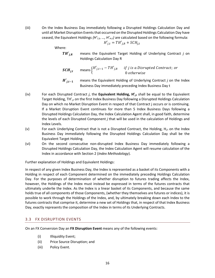(iii) On the Index Business Day immediately following a Disrupted Holdings Calculation Day and until all Market Disruption Events that occurred on the Disrupted Holdings Calculation Day have ceased, the Equivalent Holdings  $\{H'_{1,t},...,H'_{m,t}\}$  are calculated based on the following formula:

$$
H'_{j,t} = TH'_{j,R} + SCH_{j,t}
$$

Where:

 $TH'_{i,R}$  means the Equivalent Target Holding of Underlying Contract *j* on Holdings Calculation Day R

**SCH**<sub>j,t</sub> means 
$$
\begin{cases} H'_{j,t-1} - TH'_{j,R} & \text{if } j \text{ is a Disrupted Contract; or} \\ 0 & \text{otherwise} \end{cases}
$$

*H'*<sub>it−1</sub> means the Equivalent Holding of Underlying Contract *j* on the Index Business Day immediately preceding Index Business Day t

- (iv) For each Disrupted Contract *j*, the **Equivalent Holding, H'j,t** shall be equal to the Equivalent Target Holding, TH'<sub>it</sub> on the first Index Business Day following a Disrupted Holdings Calculation Day on which no Market Disruption Event in respect of that Contract j occurs or is continuing. If a Market Disruption Event continues for more than 5 Index Business Days following a Disrupted Holdings Calculation Day, the Index Calculation Agent shall, in good faith, determine the levels of each Disrupted Component *j* that will be used in the calculation of Holdings and Index Levels.
- (v) For each Underlying Contract that is not a Disrupted Contract, the Holding,  $H_{i,t}$  on the Index Business Day immediately following the Disrupted Holdings Calculation Day shall be the Equivalent Target Holding.
- (vi) On the second consecutive non-disrupted Index Business Day immediately following a Disrupted Holdings Calculation Day, the Index Calculation Agent will resume calculation of the Index in accordance with Section 2 (*Index Methodology*).

Further explanation of Holdings and Equivalent Holdings:

In respect of any given Index Business Day, the Index is represented as a basket of its Components with a Holding in respect of each Component determined on the immediately preceding Holdings Calculation Day. For the purposes of determination of whether disruption to futures trading affects the Index, however, the Holdings of the Index must instead be expressed in terms of the futures contracts that ultimately underlie the Index. As the Index is a linear basket of its Components, and because the same holds true of all components of those Components, (whether they themselves are futures or indices), it is possible to work through the Holdings of the Index, and, by ultimately breaking down each Index to the futures contracts that comprise it, determine a new set of Holdings that, in respect of that Index Business Day, exactly represents the composition of the Index in terms of its Underlying Contracts.

## <span id="page-15-0"></span>3.3 FX DISRUPTION EVENTS

On an FX Conversion Day an **FX Disruption Event** means any of the following events:

- (i) Illiquidity Event;
- (ii) Price Source Disruption; and
- (iii) Policy Event.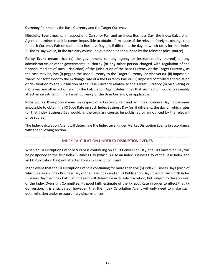**Currency Pair** means the Base Currency and the Target Currency.

**Illiquidity Event** means, in respect of a Currency Pair and an Index Business Day, the Index Calculation Agent determines that it becomes impossible to obtain a firm quote of the relevant foreign exchange rate for such Currency Pair on such Index Business Day (or, if different, the day on which rates for that Index Business Day would, in the ordinary course, be published or announced by the relevant price source).

**Policy Event** means that (a) the government (or any agency or instrumentality thereof) or any administrative or other governmental authority (or any other person charged with regulation of the financial markets of such jurisdiction) of the jurisdiction of the Base Currency or the Target Currency, as the case may be, has (i) pegged the Base Currency to the Target Currency (or vice versa), (ii) imposed a "hard" or "soft" floor to the exchange rate of a the Currency Pair or (iii) imposed controlled appreciation or devaluation by the jurisdiction of the Base Currency relative to the Target Currency (or vice versa) or (iv) taken any other action and (b) the Calculation Agent determines that such action would reasonably affect an investment in the Target Currency or the Base Currency, as applicable.

**Price Source Disruption** means, in respect of a Currency Pair and an Index Business Day, it becomes impossible to obtain the FX Spot Rate on such Index Business Day (or, if different, the day on which rates for that Index Business Day would, in the ordinary course, be published or announced by the relevant price source).

<span id="page-16-0"></span>The Index Calculation Agent will determine the Index Level under Market Disruption Events in accordance with the following section.

## INDEX CALCULATION UNDER FX DISRUPTION EVENTS

When an FX Disruption Event occurs or is continuing on an FX Conversion Day, the FX Conversion Day will be postponed to the first Index Business Day (which is also an Index Business Day of the Base Index and an FX Publication Day) not affected by an FX Disruption Event.

In the event that the FX Disruption Event is continuing for more than five (5) Index Business Days (each of which is also an Index Business Day of the Base Index and an FX Publication Day), then on such fifth Index Business Day the Index Calculation Agent will determine in its sole discretion, but subject to the approval of the Index Oversight Committee, its good faith estimate of the FX Spot Rate in order to effect that FX Conversion. It is anticipated, however, that the Index Calculation Agent will only need to make such determination under extraordinary circumstances.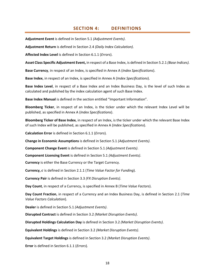## **SECTION 4: DEFINITIONS**

<span id="page-17-0"></span>**Adjustment Event** is defined in Section 5.1 *(Adjustment Events)*.

**Adjustment Return** is defined in Section 2.4 *(Daily Index Calculation)*.

**Affected Index Level** is defined in Section 6.1.1 (*Errors*).

**Asset Class Specific Adjustment Event,** in respect of a Base Index, is defined in Section 5.2.1 *(Base Indices).*

**Base Currency**, in respect of an Index, is specified in Annex A (*Index Specifications*).

**Base Index**, in respect of an Index, is specified in Annex A (*Index Specifications*).

**Base Index Level**, in respect of a Base Index and an Index Business Day, is the level of such Index as calculated and published by the index calculation agent of such Base Index.

**Base Index Manual** is defined in the section entitled "Important Information".

**Bloomberg Ticker**, in respect of an Index, is the ticker under which the relevant Index Level will be published, as specified in Annex A (*Index Specifications*).

**Bloomberg Ticker of Base Index**, in respect of an Index, is the ticker under which the relevant Base Index of such Index will be published, as specified in Annex A (*Index Specifications*).

**Calculation Error** is defined in Section 6.1.1 (*Errors*)*.*

**Change in Economic Assumptions** is defined in Section 5.1 *(Adjustment Events)*.

**Component Change Event** is defined in Section 5.1 *(Adjustment Events)*.

**Component Licensing Event** is defined in Section 5.1 *(Adjustment Events)*.

**Currency** is either the Base Currency or the Target Currency.

**Currency,**  is defined in Section 2.1.1 (*Time Value Factor for Funding*).

**Currency Pair** is defined in Section 3.3 *(FX Disruption Events)*.

**Day Count**, in respect of a Currency, is specified in Annex B (*Time Value Factors*).

**Day Count Fraction**, in respect of a Currency and an Index Business Day, is defined in Section 2.1 (*Time Value Factors Calculation*).

**Dealer** is defined in Section 5.1 *(Adjustment Events)*.

**Disrupted Contract** is defined in Section 3.2 *(Market Disruption Events)*.

**Disrupted Holdings Calculation Day** is defined in Section 3.2 *(Market Disruption Events)*.

**Equivalent Holdings** is defined in Section 3.2 *(Market Disruption Events)*.

**Equivalent Target Holdings** is defined in Section 3.2 *(Market Disruption Events)*.

**Error** is defined in Section 6.1.1 (*Errors*)*.*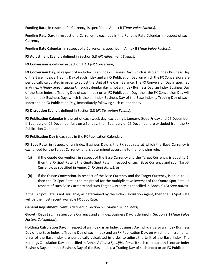**Funding Rate**, in respect of a Currency, is specified in Annex B (*Time Value Factors*).

**Funding Rate Day**, in respect of a Currency, is each day in the Funding Rate Calendar in respect of such Currency.

**Funding Rate Calendar**, in respect of a Currency, is specified in Annex B (*Time Value Factors*).

**FX Adjustment Event** is defined in Section 5.3 *(FX Adjustment Events)*.

**FX Conversion** is defined in Section 2.2.3 *(FX Conversion)*.

**FX Conversion Day**, in respect of an Index, is an Index Business Day, which is also an Index Business Day of the Base Index, a Trading Day of such Index and an FX Publication Day, on which the FX Conversions are periodically calculated in order to adjust the Unit of the Cash Balance. The FX Conversion Day is specified in Annex A *(Index Specifications)*. If such calendar day is not an Index Business Day, an Index Business Day of the Base Index, a Trading Day of such Index or an FX Publication Day, then the FX Conversion Day will be the Index Business Day, which is also an Index Business Day of the Base Index, a Trading Day of such Index and an FX Publication Day, immediately following such calendar day.

**FX Disruption Event** is defined in Section 3.3 (*FX Disruption Events*).

**FX Publication Calendar** is the set of each week day, excluding 1 January, Good Friday and 25 December. If 1 January or 25 December falls on a Sunday, then 2 January or 26 December are excluded from the FX Publication Calendar.

**FX Publication Day** is each day in the FX Publication Calendar.

**FX Spot Rate**, in respect of an Index Business Day, is the FX spot rate at which the Base Currency is exchanged for the Target Currency, and is determined according to the following rule:

- (a) if the Quote Convention, in respect of the Base Currency and the Target Currency, is equal to 1, then the FX Spot Rate is the Quote Spot Rate, in respect of such Base Currency and such Target Currency, as specified in Annex C (*FX Spot Rates*); or
- (b) if the Quote Convention, in respect of the Base Currency and the Target Currency, is equal to -1, then the FX Spot Rate is the reciprocal (or the multiplicative inverse) of the Quote Spot Rate, in respect of such Base Currency and such Target Currency, as specified in Annex C (*FX Spot Rates*).

If the FX Spot Rate is not available, as determined by the Index Calculation Agent, then the FX Spot Rate will be the most recent available FX Spot Rate.

**General Adjustment Event** is defined in Section 5.1 *(Adjustment Events)*.

**Growth Days Set**, in respect of a Currency and an Index Business Day, is defined in Section 2.1 (*Time Value Factors Calculation*).

**Holdings Calculation Day**, in respect of an Index, is an Index Business Day, which is also an Index Business Day of the Base Index, a Trading Day of such Index and an FX Publication Day, on which the Incremental Units of the Base Index are periodically calculated in order to adjust the Unit of the Base Index. The Holdings Calculation Day is specified in Annex A *(Index Specifications)*. If such calendar day is not an Index Business Day, an Index Business Day of the Base Index, a Trading Day of such Index or an FX Publication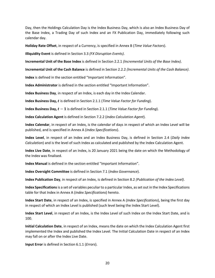Day, then the Holdings Calculation Day is the Index Business Day, which is also an Index Business Day of the Base Index, a Trading Day of such Index and an FX Publication Day, immediately following such calendar day.

**Holiday Rate Offset**, in respect of a Currency, is specified in Annex B (*Time Value Factors*).

**Illiquidity Event** is defined in Section 3.3 *(FX Disruption Events)*.

**Incremental Unit of the Base Index** is defined in Section 2.2.1 *(Incremental Units of the Base Index)*.

**Incremental Unit of the Cash Balance** is defined in Section 2.2.2 *(Incremental Units of the Cash Balance)*.

**Index** is defined in the section entitled "Important Information".

**Index Administrator** is defined in the section entitled "Important Information".

**Index Business Day**, in respect of an Index, is each day in the Index Calendar.

**Index Business Day,**  is defined in Section 2.1.1 (*Time Value Factor for Funding*).

**Index Business Day,**  − is defined in Section 2.1.1 (*Time Value Factor for Funding*).

**Index Calculation Agent** is defined in Section 7.2.2 (*Index Calculation Agent*).

**Index Calendar**, in respect of an Index, is the calendar of days in respect of which an Index Level will be published, and is specified in Annex A (*Index Specifications*).

**Index Level**, in respect of an Index and an Index Business Day, is defined in Section 2.4 (*Daily Index Calculation*) and is the level of such Index as calculated and published by the Index Calculation Agent.

**Index Live Date**, in respect of an Index, is 20 January 2021 being the date on which the Methodology of the Index was finalised.

**Index Manual** is defined in the section entitled "Important Information".

**Index Oversight Committee** is defined in Section 7.1 (*Index Governance*).

**Index Publication Day**, in respect of an Index, is defined in Section 8.2 *(Publication of the Index Level)*.

**Index Specifications** is a set of variables peculiar to a particular Index, as set out in the Index Specifications table for that Index in Annex A (*Index Specifications*) hereto.

**Index Start Date**, in respect of an Index, is specified in Annex A (*Index Specifications*), being the first day in respect of which an Index Level is published (such level being the Index Start Level).

**Index Start Level**, in respect of an Index, is the Index Level of such Index on the Index Start Date, and is 100.

**Initial Calculation Date**, in respect of an Index, means the date on which the Index Calculation Agent first implemented the Index and published the Index Level. The Initial Calculation Date in respect of an Index may fall on or after the Index Live Date.

**Input Error** is defined in Section 6.1.1 (*Errors*)*.*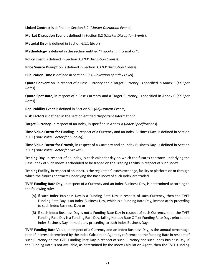**Linked Contract** is defined in Section 3.2 (*Market Disruption Events*).

**Market Disruption Event** is defined in Section 3.2 (*Market Disruption Events*).

**Material Error** is defined in Section 6.1.1 (*Errors*)*.*

**Methodology** is defined in the section entitled "Important Information".

**Policy Event** is defined in Section 3.3 *(FX Disruption Events)*.

**Price Source Disruption** is defined in Section 3.3 *(FX Disruption Events)*.

**Publication Time** is defined in Section 8.2 (*Publication of Index Level*).

**Quote Convention**, in respect of a Base Currency and a Target Currency, is specified in Annex C (*FX Spot Rates*).

**Quote Spot Rate**, in respect of a Base Currency and a Target Currency, is specified in Annex C (*FX Spot Rates*).

**Replicability Event** is defined in Section 5.1 *(Adjustment Events)*.

**Risk Factors** is defined in the section entitled "Important Information".

**Target Currency**, in respect of an Index, is specified in Annex A (*Index Specifications*).

**Time Value Factor for Funding**, in respect of a Currency and an Index Business Day, is defined in Section 2.1.1 (*Time Value Factor for Funding*).

**Time Value Factor for Growth**, in respect of a Currency and an Index Business Day, is defined in Section 2.1.2 (*Time Value Factor for Growth*).

**Trading Day**, in respect of an Index, is each calendar day on which the futures contracts underlying the Base Index of such Index is scheduled to be traded on the Trading Facility in respect of such Index.

**Trading Facility**, in respect of an Index, is the regulated futures exchange, facility or platform on or through which the futures contracts underlying the Base Index of such Index are traded.

**TVFF Funding Rate Day**, in respect of a Currency and an Index Business Day, is determined according to the following rule:

- (A) if such Index Business Day is a Funding Rate Day in respect of such Currency, then the TVFF Funding Rate Day is an Index Business Day, which is a Funding Rate Day, immediately preceding to such Index Business Day; or
- (B) if such Index Business Day is not a Funding Rate Day in respect of such Currency, then the TVFF Funding Rate Day is a Funding Rate Day, falling Holiday Rate Offset Funding Rate Days prior to the Index Business Day immediately preceding to such Index Business Day.

**TVFF Funding Rate Value**, in respect of a Currency and an Index Business Day, is the annual percentage rate of interest determined by the Index Calculation Agent by reference to the Funding Rate in respect of such Currency on the TVFF Funding Rate Day in respect of such Currency and such Index Business Day. If the Funding Rate is not available, as determined by the Index Calculation Agent, then the TVFF Funding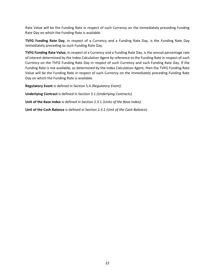Rate Value will be the Funding Rate in respect of such Currency on the immediately preceding Funding Rate Day on which the Funding Rate is available.

**TVFG Funding Rate Day**, in respect of a Currency and a Funding Rate Day, is the Funding Rate Day immediately preceding to such Funding Rate Day.

**TVFG Funding Rate Value**, in respect of a Currency and a Funding Rate Day, is the annual percentage rate of interest determined by the Index Calculation Agent by reference to the Funding Rate in respect of such Currency on the TVFG Funding Rate Day in respect of such Currency and such Funding Rate Day. If the Funding Rate is not available, as determined by the Index Calculation Agent, then the TVFG Funding Rate Value will be the Funding Rate in respect of such Currency on the immediately preceding Funding Rate Day on which the Funding Rate is available.

**Regulatory Event** is defined in Section 5.4 *(Regulatory Event)*.

**Underlying Contract** is defined in Section 3.1 *(Underlying Contracts)*.

**Unit of the Base Index** is defined in Section 2.3.1 *(Units of the Base Index)*.

**Unit of the Cash Balance** is defined in Section 2.3.2 *(Unit of the Cash Balance)*.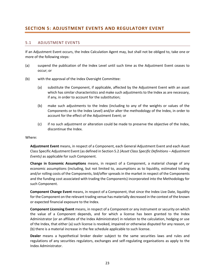# <span id="page-22-0"></span>**SECTION 5: ADJUSTMENT EVENTS AND REGULATORY EVENT**

#### 5.1 ADJUSTMENT EVENTS

If an Adjustment Event occurs, the Index Calculation Agent may, but shall not be obliged to, take one or more of the following steps:

- (a) suspend the publication of the Index Level until such time as the Adjustment Event ceases to occur; or
- (b) with the approval of the Index Oversight Committee:
	- (a) substitute the Component, if applicable, affected by the Adjustment Event with an asset which has similar characteristics and make such adjustments to the Index as are necessary, if any, in order to account for the substitution;
	- (b) make such adjustments to the Index (including to any of the weights or values of the Components or to the Index Level) and/or alter the methodology of the Index, in order to account for the effect of the Adjustment Event; or
	- (c) if no such adjustment or alteration could be made to preserve the objective of the Index, discontinue the Index.

#### Where:

**Adjustment Event** means, in respect of a Component, each General Adjustment Event and each Asset Class Specific Adjustment Event (as defined in Section 5.2 *(Asset Class Specific Definitions – Adjustment Events)* as applicable for such Component.

**Change in Economic Assumptions** means, in respect of a Component, a material change of any economic assumptions (including, but not limited to, assumptions as to liquidity, estimated trading and/or rolling costs of the Components, bid/offer spreads in the market in respect of the Components and the funding cost associated with trading the Components) incorporated into the Methodology for such Component.

**Component Change Event** means, in respect of a Component, that since the Index Live Date, liquidity for the Component on the relevant trading venue has materially decreased in the context of the known or expected financial exposure to the Index.

**Component Licensing Event** means, in respect of a Component or any instrument or security on which the value of a Component depends, and for which a license has been granted to the Index Administrator (or an affiliate of the Index Administrator) in relation to the calculation, hedging or use of the Index, that either (a) such license is revoked, impaired or otherwise disputed for any reason, or (b) there is a material increase in the fee schedule applicable to such license.

**Dealer** means a hypothetical broker dealer subject to the same securities laws and rules and regulations of any securities regulators, exchanges and self-regulating organisations as apply to the Index Administrator.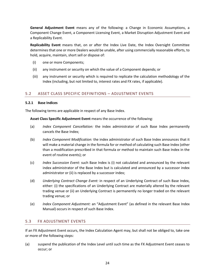**General Adjustment Event** means any of the following: a Change in Economic Assumptions, a Component Change Event, a Component Licensing Event, a Market Disruption Adjustment Event and a Replicability Event.

**Replicability Event** means that, on or after the Index Live Date, the Index Oversight Committee determines that one or more Dealers would be unable, after using commercially reasonable efforts, to hold, acquire, maintain, short sell or dispose of:

- (i) one or more Components;
- (ii) any instrument or security on which the value of a Component depends; or
- (iii) any instrument or security which is required to replicate the calculation methodology of the Index (including, but not limited to, interest rates and FX rates, if applicable).

## 5.2 ASSET CLASS SPECIFIC DEFINITIONS – ADJUSTMENT EVENTS

#### **5.2.1 Base Indices**

The following terms are applicable in respect of any Base Index.

**Asset Class Specific Adjustment Event** means the occurrence of the following:

- (a) *Index Component Cancellation:* the index administrator of such Base Index permanently cancels the Base Index;
- (b) *Index Component Modification:* the index administrator of such Base Index announces that it will make a material change in the formula for or method of calculating such Base Index (other than a modification prescribed in that formula or method to maintain such Base Index in the event of routine events); or
- (c) *Index Succession Event:* such Base Index is (i) not calculated and announced by the relevant index administrator of the Base Index but is calculated and announced by a successor index administrator or (ii) is replaced by a successor index;
- (d) *Underlying Contract Change Event:* in respect of an Underlying Contract of such Base Index, either: (i) the specifications of an Underlying Contract are materially altered by the relevant trading venue or (ii) an Underlying Contract is permanently no longer traded on the relevant trading venue; or
- (e) *Index Component Adjustment:* an "Adjustment Event" (as defined in the relevant Base Index Manual) occurs in respect of such Base Index.

## 5.3 FX ADJUSTMENT EVENTS

If an FX Adjustment Event occurs, the Index Calculation Agent may, but shall not be obliged to, take one or more of the following steps:

(a) suspend the publication of the Index Level until such time as the FX Adjustment Event ceases to occur; or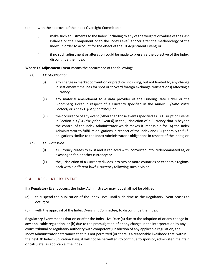- (b) with the approval of the Index Oversight Committee:
	- (i) make such adjustments to the Index (including to any of the weights or values of the Cash Balance or the Component or to the Index Level) and/or alter the methodology of the Index, in order to account for the effect of the FX Adjustment Event; or
	- (ii) if no such adjustment or alteration could be made to preserve the objective of the Index, discontinue the Index.

Where **FX Adjustment Event** means the occurrence of the following:

- (a) *FX Modification:*
	- (i) any change in market convention or practice (including, but not limited to, any change in settlement timelines for spot or forward foreign exchange transactions) affecting a Currency;
	- (ii) any material amendment to a data provider of the Funding Rate Ticker or the Bloomberg Ticker in respect of a Currency specified in the Annex B *(Time Value Factors)* or Annex C *(FX Spot Rates)*; or
	- (iii) the occurrence of any event (other than those events specified as FX Disruption Events in Section 3.3 *(FX Disruption Events)*) in the jurisdiction of a Currency that is beyond the control of the Index Administrator which makes it impossible for (A) the Index Administrator to fulfil its obligations in respect of the Index and (B) generally to fulfil obligations similar to the Index Administrator's obligations in respect of the Index; or
- (b) *FX Succession:*
	- (i) a Currency ceases to exist and is replaced with, converted into, redenominated as, or exchanged for, another currency; or
	- (ii) the jurisdiction of a Currency divides into two or more countries or economic regions, each with a different lawful currency following such division.

#### 5.4 REGULATORY EVENT

If a Regulatory Event occurs, the Index Administrator may, but shall not be obliged:

- (a) to suspend the publication of the Index Level until such time as the Regulatory Event ceases to occur; or
- (b) with the approval of the Index Oversight Committee, to discontinue the Index.

**Regulatory Event** means that on or after the Index Live Date (a) due to the adoption of or any change in any applicable regulation, or (b) due to the promulgation of or any change in the interpretation by any court, tribunal or regulatory authority with competent jurisdiction of any applicable regulation, the Index Administrator determines that it is not permitted (or there is a reasonable likelihood that, within the next 30 Index Publication Days, it will not be permitted) to continue to sponsor, administer, maintain or calculate, as applicable, the Index.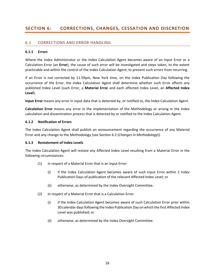# **SECTION 6: CORRECTIONS, CHANGES, CESSATION AND DISCRETION**

#### <span id="page-25-0"></span>6.1 CORRECTIONS AND ERROR HANDLING

#### **6.1.1 Errors**

Where the Index Administrator or the Index Calculation Agent becomes aware of an Input Error or a Calculation Error (an **Error**), the cause of such error will be investigated and steps taken, to the extent practicable and within the control of the Index Calculation Agent, to prevent such errors from recurring.

If an Error is not corrected by 11.59pm, New York time, on the Index Publication Day following the occurrence of the Error, the Index Calculation Agent shall determine whether such Error affects any published Index Level (such Error, a **Material Error** and each affected Index Level, an **Affected Index Level**).

**Input Error** means any error in input data that is detected by, or notified to, the Index Calculation Agent.

**Calculation Error** means any error in the implementation of the Methodology or arising in the Index calculation and dissemination process that is detected by or notified to the Index Calculation Agent.

#### **6.1.2 Notification of Errors**

The Index Calculation Agent shall publish an announcement regarding the occurrence of any Material Error and any change to the Methodology (see Section 6.2 (*Changes in Methodology*)).

#### **6.1.3 Restatement of Index Levels**

The Index Calculation Agent will restate any Affected Index Level resulting from a Material Error in the following circumstances:

- (1) in respect of a Material Error that is an Input Error:
	- (i) if the Index Calculation Agent becomes aware of such Input Error within 2 Index Publication Days of publication of the relevant Affected Index Level; or
	- (ii) otherwise, as determined by the Index Oversight Committee.
- (2) In respect of a Material Error that is a Calculation Error:
	- (i) if the Index Calculation Agent becomes aware of such Calculation Error prior within 30 calendar days following the Index Publication Day on which the first Affected Index Level was published; or
	- (ii) otherwise, as determined by the Index Oversight Committee.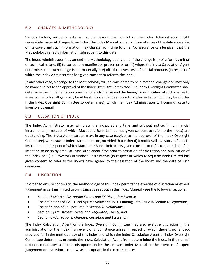## <span id="page-26-0"></span>6.2 CHANGES IN METHODOLOGY

Various factors, including external factors beyond the control of the Index Administrator, might necessitate material changes to an Index. The Index Manual contains information as of the date appearing on its cover, and such information may change from time to time. No assurance can be given that the Methodology reflects information subsequent to this date.

The Index Administrator may amend the Methodology at any time if the change is (i) of a formal, minor or technical nature, (ii) to correct any manifest or proven error or (iii) where the Index Calculation Agent determines that such change is not materially prejudicial to investors in financial products (in respect of which the Index Administrator has given consent to refer to the Index).

In any other case, a change to the Methodology will be considered to be a material change and may only be made subject to the approval of the Index Oversight Committee. The Index Oversight Committee shall determine the implementation timeline for such change and the timing for notification of such change to investors (which shall generally be at least 30 calendar days prior to implementation, but may be shorter if the Index Oversight Committee so determines), which the Index Administrator will communicate to investors by email.

### <span id="page-26-1"></span>6.3 CESSATION OF INDEX

The Index Administrator may withdraw the Index, at any time and without notice, if no financial instruments (in respect of which Macquarie Bank Limited has given consent to refer to the Index) are outstanding. The Index Administrator may, in any case (subject to the approval of the Index Oversight Committee), withdraw an Index, without reason, provided that either (i) it notifies all investors in financial instruments (in respect of which Macquarie Bank Limited has given consent to refer to the Index) of its intention to do so by email at least 30 calendar days prior to cessation of calculation and publication of the Index or (ii) all investors in financial instruments (in respect of which Macquarie Bank Limited has given consent to refer to the Index) have agreed to the cessation of the Index and the date of such cessation.

#### <span id="page-26-2"></span>6.4 DISCRETION

In order to ensure continuity, the methodology of this Index permits the exercise of discretion or expert judgement in certain limited circumstances as set out in this Index Manual - see the following sections:

- Section 3 (*Market Disruption Events and FX Disruption Events*);
- The definitions of TVFF Funding Rate Value and TVFG Funding Rate Value in Section 4 (*Definitions*);
- The definition of FX Spot Rate in Section 4 (*Definitions*);
- Section 5 *(Adjustment Events and Regulatory Event)*; and
- Section 6 (*Corrections, Changes, Cessation and Discretion*).

The Index Calculation Agent or the Index Oversight Committee may also exercise discretion in the administration of the Index if an event or circumstance arises in respect of which there is no fallback provided for in the methodology of this Index and which the Index Calculation Agent or Index Oversight Committee determines prevents the Index Calculation Agent from determining the Index in the normal manner, constitutes a market disruption under the relevant Index Manual or the exercise of expert judgement or discretion is otherwise appropriate in the circumstances.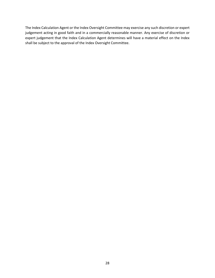The Index Calculation Agent or the Index Oversight Committee may exercise any such discretion or expert judgement acting in good faith and in a commercially reasonable manner. Any exercise of discretion or expert judgement that the Index Calculation Agent determines will have a material effect on the Index shall be subject to the approval of the Index Oversight Committee.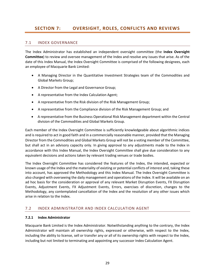# <span id="page-28-0"></span>**SECTION 7: OVERSIGHT, ROLES, CONFLICTS AND REVIEWS**

#### <span id="page-28-1"></span>7.1 INDEX GOVERNANCE

The Index Administrator has established an independent oversight committee (the **Index Oversight Committee**) to review and oversee management of the Index and resolve any issues that arise. As of the date of this Index Manual, the Index Oversight Committee is comprised of the following designees, each an employee of Macquarie Bank Limited:

- A Managing Director in the Quantitative Investment Strategies team of the Commodities and Global Markets Group;
- A Director from the Legal and Governance Group;
- A representative from the Index Calculation Agent;
- A representative from the Risk division of the Risk Management Group;
- A representative from the Compliance division of the Risk Management Group; and
- A representative from the Business Operational Risk Management department within the Central division of the Commodities and Global Markets Group.

Each member of the Index Oversight Committee is sufficiently knowledgeable about algorithmic indices and is required to act in good faith and in a commercially reasonable manner, provided that the Managing Director from the Commodities and Global Markets Group will not be a voting member of the Committee, but shall act in an advisory capacity only. In giving approval to any adjustments made to the Index in accordance with this Index Manual, the Index Oversight Committee shall give due consideration to any equivalent decisions and actions taken by relevant trading venues or trade bodies.

The Index Oversight Committee has considered the features of the Index, the intended, expected or known usage of the Index and the materiality of existing or potential conflicts of interest and, taking these into account, has approved the Methodology and this Index Manual. The Index Oversight Committee is also charged with overseeing the daily management and operations of the Index. It will be available on an ad hoc basis for the consideration or approval of any relevant Market Disruption Events, FX Disruption Events, Adjustment Events, FX Adjustment Events, Errors, exercises of discretion, changes to the Methodology, any contemplated cancellation of the Index and the resolution of any other issues which arise in relation to the Index.

#### <span id="page-28-2"></span>7.2 INDEX ADMINISTRATOR AND INDEX CALCULATION AGENT

#### **7.2.1 Index Administrator**

Macquarie Bank Limited is the Index Administrator. Notwithstanding anything to the contrary, the Index Administrator will maintain all ownership rights, expressed or otherwise, with respect to the Index, including the ability to license, sell or transfer any or all of its ownership rights with respect to the Index, including but not limited to terminating and appointing any successor Index Calculation Agent.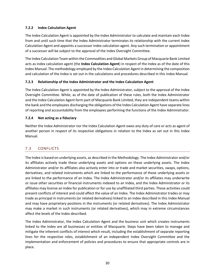#### **7.2.2 Index Calculation Agent**

The Index Calculation Agent is appointed by the Index Administrator to calculate and maintain each Index from and until such time that the Index Administrator terminates its relationship with the current Index Calculation Agent and appoints a successor index calculation agent. Any such termination or appointment of a successor will be subject to the approval of the Index Oversight Committee.

The Index Calculation Team within the Commodities and Global Markets Group of Macquarie Bank Limited acts as index calculation agent (the **Index Calculation Agent**) in respect of the Index as of the date of this Index Manual. The methodology employed by the Index Calculation Agent in determining the composition and calculation of the Index is set out in the calculations and procedures described in this Index Manual.

### **7.2.3 Relationship of the Index Administrator and the Index Calculation Agent**

The Index Calculation Agent is appointed by the Index Administrator, subject to the approval of the Index Oversight Committee. While, as of the date of publication of these rules, both the Index Administrator and the Index Calculation Agent form part of Macquarie Bank Limited, they are independent teams within the bank and the employees discharging the obligations of the Index Calculation Agent have separate lines of reporting and accountability from the employees performing the functions of the Index Administrator.

### **7.2.4 Not acting as a fiduciary**

Neither the Index Administrator nor the Index Calculation Agent owes any duty of care or acts as agent of another person in respect of its respective obligations in relation to the Index as set out in this Index Manual.

## <span id="page-29-0"></span>7.3 CONFLICTS

The Index is based on underlying assets, as described in the Methodology. The Index Administrator and/or its affiliates actively trade these underlying assets and options on these underlying assets. The Index Administrator and/or its affiliates also actively enter into or trade and market securities, swaps, options, derivatives, and related instruments which are linked to the performance of these underlying assets or are linked to the performance of an Index. The Index Administrator and/or its affiliates may underwrite or issue other securities or financial instruments indexed to an Index, and the Index Administrator or its affiliates may license an Index for publication or for use by unaffiliated third parties. These activities could present conflicts of interest and could affect the value of an Index. The Index Administrator trades or may trade as principal in instruments (or related derivatives) linked to an index described in this Index Manual and may have proprietary positions in the instruments (or related derivatives). The Index Administrator may make a market in such instruments (or related derivatives), which may in extreme circumstances affect the levels of the Index described.

The Index Administrator, the Index Calculation Agent and the business unit which creates instruments linked to the Index are all businesses or entities of Macquarie. Steps have been taken to manage and mitigate the inherent conflicts of interest which result, including the establishment of separate reporting lines for the respective roles, establishment of an independent Index Oversight Committee and the implementation and enforcement of policies and procedures to ensure that appropriate controls are in place.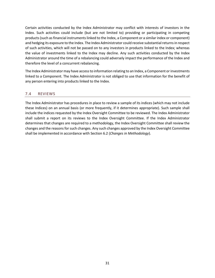Certain activities conducted by the Index Administrator may conflict with interests of investors in the Index. Such activities could include (but are not limited to) providing or participating in competing products (such as financial instruments linked to the Index, a Component or a similar index or component) and hedging its exposure to the Index. The Index Administrator could receive substantial returns in respect of such activities, which will not be passed on to any investors in products linked to the Index; whereas the value of investments linked to the Index may decline. Any such activities conducted by the Index Administrator around the time of a rebalancing could adversely impact the performance of the Index and therefore the level of a concurrent rebalancing.

The Index Administrator may have access to information relating to an Index, a Component or investments linked to a Component. The Index Administrator is not obliged to use that information for the benefit of any person entering into products linked to the Index.

## <span id="page-30-0"></span>7.4 REVIEWS

The Index Administrator has procedures in place to review a sample of its indices (which may not include these Indices) on an annual basis (or more frequently, if it determines appropriate). Such sample shall include the indices requested by the Index Oversight Committee to be reviewed. The Index Administrator shall submit a report on its reviews to the Index Oversight Committee. If the Index Administrator determines that changes are required to a methodology, the Index Oversight Committee shall review the changes and the reasons for such changes. Any such changes approved by the Index Oversight Committee shall be implemented in accordance with Section 6.2 (*Changes in Methodology*).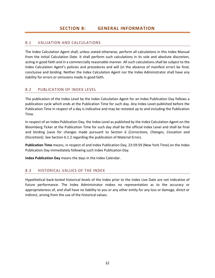## <span id="page-31-1"></span><span id="page-31-0"></span>8.1 VALUATION AND CALCULATIONS

The Index Calculation Agent shall, unless stated otherwise, perform all calculations in this Index Manual from the Initial Calculation Date. It shall perform such calculations in its sole and absolute discretion, acting in good faith and in a commercially reasonable manner. All such calculations shall be subject to the Index Calculation Agent's policies and procedures and will (in the absence of manifest error) be final, conclusive and binding. Neither the Index Calculation Agent nor the Index Administrator shall have any liability for errors or omissions made in good faith.

## <span id="page-31-2"></span>8.2 PUBLICATION OF INDEX LEVEL

The publication of the Index Level by the Index Calculation Agent for an Index Publication Day follows a publication cycle which ends at the Publication Time for such day. Any Index Level published before the Publication Time in respect of a day is indicative and may be restated up to and including the Publication Time.

In respect of an Index Publication Day, the Index Level as published by the Index Calculation Agent on the Bloomberg Ticker at the Publication Time for such day shall be the official Index Level and shall be final and binding (save for changes made pursuant to Section 6 (*Corrections, Changes, Cessation and Discretion*)). See Section 6.1.2 regarding the publication of Material Errors.

**Publication Time** means, in respect of and Index Publication Day, 23:59:59 (New York Time) on the Index Publication Day immediately following such Index Publication Day.

**Index Publication Day** means the days in the Index Calendar.

## <span id="page-31-3"></span>8.3 HISTORICAL VALUES OF THE INDEX

Hypothetical back-tested historical levels of the Index prior to the Index Live Date are not indicative of future performance. The Index Administrator makes no representation as to the accuracy or appropriateness of, and shall have no liability to you or any other entity for any loss or damage, direct or indirect, arising from the use of the historical values.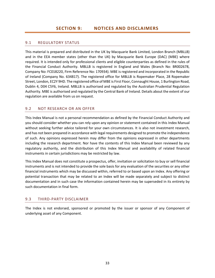## <span id="page-32-1"></span><span id="page-32-0"></span>9.1 REGULATORY STATUS

This material is prepared and distributed in the UK by Macquarie Bank Limited, London Branch (MBLLB) and in the EEA member states (other than the UK) by Macquarie Bank Europe (DAC) (MBE) where required. It is intended only for professional clients and eligible counterparties as defined in the rules of the Financial Conduct Authority. MBLLB is registered in England and Wales (Branch No: BR002678, Company No: FC018220, Firm Reference No: 170934). MBE is registered and incorporated in the Republic of Ireland (Company No. 634817). The registered office for MBLLB is Ropemaker Place, 28 Ropemaker Street, London, EC2Y 9HD. The registered office of MBE is First Floor, Connaught House, 1 Burlington Road, Dublin 4, D04 C5Y6, Ireland. MBLLB is authorised and regulated by the Australian Prudential Regulation Authority. MBE is authorised and regulated by the Central Bank of Ireland. Details about the extent of our regulation are available from us on request.

### <span id="page-32-2"></span>9.2 NOT RESEARCH OR AN OFFER

This Index Manual is not a personal recommendation as defined by the Financial Conduct Authority and you should consider whether you can rely upon any opinion or statement contained in this Index Manual without seeking further advice tailored for your own circumstances. It is also not investment research, and has not been prepared in accordance with legal requirements designed to promote the independence of such. Any opinions expressed herein may differ from the opinions expressed in other departments including the research department. Nor have the contents of this Index Manual been reviewed by any regulatory authority, and the distribution of this Index Manual and availability of related financial instruments in certain jurisdictions may be restricted by law.

This Index Manual does not constitute a prospectus, offer, invitation or solicitation to buy or sell financial instruments and is not intended to provide the sole basis for any evaluation of the securities or any other financial instruments which may be discussed within, referred to or based upon an Index. Any offering or potential transaction that may be related to an Index will be made separately and subject to distinct documentation and in such case the information contained herein may be superseded in its entirety by such documentation in final form.

#### <span id="page-32-3"></span>9.3 THIRD-PARTY DISCLAIMER

The Index is not endorsed, sponsored or promoted by the issuer or sponsor of any Component of underlying asset of any Component.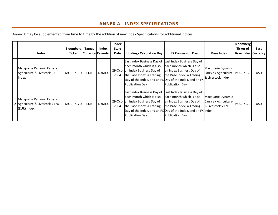# **ANNEX A INDEX SPECIFICATIONS**

Annex A may be supplemented from time to time by the addition of new Index Specifications for additional Indices.

<span id="page-33-0"></span>

| Index                                                                       | Bloomberg<br><b>Ticker</b> | <b>Target</b> | Index<br> Currency Calendar | Index<br><b>Start</b><br>Date | <b>Holdings Calculation Day</b>                                                                                                                    | <b>FX Conversion Day</b>                                                                                                                                                                                   | <b>Base Index</b>                                                       | <b>Bloomberg</b><br>Ticker of<br><b>Base Index   Currency  </b> | Base       |
|-----------------------------------------------------------------------------|----------------------------|---------------|-----------------------------|-------------------------------|----------------------------------------------------------------------------------------------------------------------------------------------------|------------------------------------------------------------------------------------------------------------------------------------------------------------------------------------------------------------|-------------------------------------------------------------------------|-----------------------------------------------------------------|------------|
| Macquarie Dynamic Carry ex<br>1 Agriculture & Livestock (EUR)<br>Index      | MQCP713U                   | <b>EUR</b>    | <b>NYMEX</b>                | 2004                          | Last Index Business Day of<br>leach month which is also<br>29-Oct- an Index Business Day of<br>the Base Index, a Trading<br><b>Publication Day</b> | Last Index Business Day of<br>each month which is also<br>an Index Business Day of<br>the Base Index, a Trading<br>Day of the Index, and an FX Day of the Index, and an FX<br><b>Publication Day</b>       | Macquarie Dynamic<br>Carry ex Agriculture MQCP713E<br>& Livestock Index |                                                                 | USD.       |
| Macquarie Dynamic Carry ex<br>2 Agriculture & Livestock 717U<br>(EUR) Index | MQCP717U                   | <b>EUR</b>    | <b>NYMEX</b>                | 2004                          | Last Index Business Day of<br>leach month which is also<br>29-Oct- an Index Business Day of<br>the Base Index, a Trading<br><b>Publication Day</b> | Last Index Business Day of<br>each month which is also<br>an Index Business Day of<br>the Base Index, a Trading<br>Day of the Index, and an FX Day of the Index, and an FX Index<br><b>Publication Day</b> | Macquarie Dynamic<br>Carry ex Agriculture<br>& Livestock 717E           | MQCP717E                                                        | <b>USD</b> |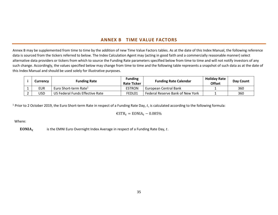# **ANNEX B TIME VALUE FACTORS**

Annex B may be supplemented from time to time by the addition of new Time Value Factors tables. As at the date of this Index Manual, the following reference data is sourced from the tickers referred to below. The Index Calculation Agent may (acting in good faith and a commercially reasonable manner) select alternative data providers or tickers from which to source the Funding Rate parameters specified below from time to time and will not notify investors of any such change. Accordingly, the values specified below may change from time to time and the following table represents a snapshot of such data as at the date of this Index Manual and should be used solely for illustrative purposes.

|          | <b>Funding Rate</b><br>Currency |                                   | <b>Funding</b><br><b>Rate Ticker</b> | <b>Funding Rate Calendar</b>     | <b>Holiday Rate</b><br><b>Offset</b> | Day Count |
|----------|---------------------------------|-----------------------------------|--------------------------------------|----------------------------------|--------------------------------------|-----------|
|          | EUR                             | Euro Short-term Rate <sup>1</sup> | <b>ESTRON</b>                        | European Central Bank            |                                      | 360       |
| <u>.</u> | 'JSD                            | US Federal Funds Effective Rate   | FEDL01                               | Federal Reserve Bank of New York |                                      | 360       |

<span id="page-34-0"></span><sup>1</sup> Prior to 2 October 2019, the Euro Short-term Rate in respect of a Funding Rate Day, t, is calculated according to the following formula:

 $\epsilon$ STR<sub>t</sub> = EONIA<sub>t</sub> – 0.085%

Where:

 $EONIA<sub>t</sub>$ is the EMNI Euro Overnight Index Average in respect of a Funding Rate Day,  $t$ .